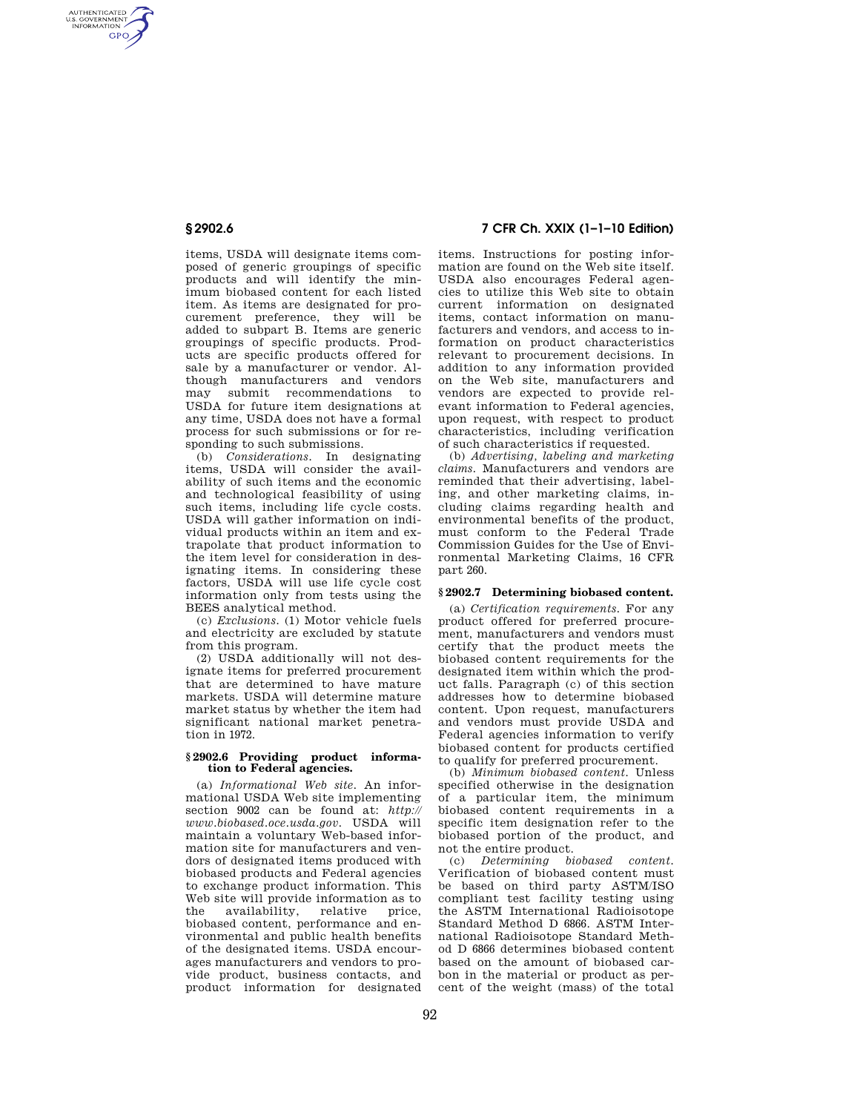AUTHENTICATED<br>U.S. GOVERNMENT<br>INFORMATION **GPO** 

> items, USDA will designate items composed of generic groupings of specific products and will identify the minimum biobased content for each listed item. As items are designated for procurement preference, they will be added to subpart B. Items are generic groupings of specific products. Products are specific products offered for sale by a manufacturer or vendor. Although manufacturers and vendors<br>may submit recommendations to may submit recommendations USDA for future item designations at any time, USDA does not have a formal process for such submissions or for responding to such submissions.

> (b) *Considerations.* In designating items, USDA will consider the availability of such items and the economic and technological feasibility of using such items, including life cycle costs. USDA will gather information on individual products within an item and extrapolate that product information to the item level for consideration in designating items. In considering these factors, USDA will use life cycle cost information only from tests using the BEES analytical method.

> (c) *Exclusions.* (1) Motor vehicle fuels and electricity are excluded by statute from this program.

> (2) USDA additionally will not designate items for preferred procurement that are determined to have mature markets. USDA will determine mature market status by whether the item had significant national market penetration in 1972.

#### **§ 2902.6 Providing product information to Federal agencies.**

(a) *Informational Web site.* An informational USDA Web site implementing section 9002 can be found at: *http:// www.biobased.oce.usda.gov.* USDA will maintain a voluntary Web-based information site for manufacturers and vendors of designated items produced with biobased products and Federal agencies to exchange product information. This Web site will provide information as to the availability, relative price, biobased content, performance and environmental and public health benefits of the designated items. USDA encourages manufacturers and vendors to provide product, business contacts, and product information for designated

# **§ 2902.6 7 CFR Ch. XXIX (1–1–10 Edition)**

items. Instructions for posting information are found on the Web site itself. USDA also encourages Federal agencies to utilize this Web site to obtain current information on designated items, contact information on manufacturers and vendors, and access to information on product characteristics relevant to procurement decisions. In addition to any information provided on the Web site, manufacturers and vendors are expected to provide relevant information to Federal agencies, upon request, with respect to product characteristics, including verification of such characteristics if requested.

(b) *Advertising, labeling and marketing claims.* Manufacturers and vendors are reminded that their advertising, labeling, and other marketing claims, including claims regarding health and environmental benefits of the product, must conform to the Federal Trade Commission Guides for the Use of Environmental Marketing Claims, 16 CFR part 260.

## **§ 2902.7 Determining biobased content.**

(a) *Certification requirements.* For any product offered for preferred procurement, manufacturers and vendors must certify that the product meets the biobased content requirements for the designated item within which the product falls. Paragraph (c) of this section addresses how to determine biobased content. Upon request, manufacturers and vendors must provide USDA and Federal agencies information to verify biobased content for products certified to qualify for preferred procurement.

(b) *Minimum biobased content.* Unless specified otherwise in the designation of a particular item, the minimum biobased content requirements in a specific item designation refer to the biobased portion of the product, and not the entire product.

(c) *Determining biobased content.*  Verification of biobased content must be based on third party ASTM/ISO compliant test facility testing using the ASTM International Radioisotope Standard Method D 6866. ASTM International Radioisotope Standard Method D 6866 determines biobased content based on the amount of biobased carbon in the material or product as percent of the weight (mass) of the total